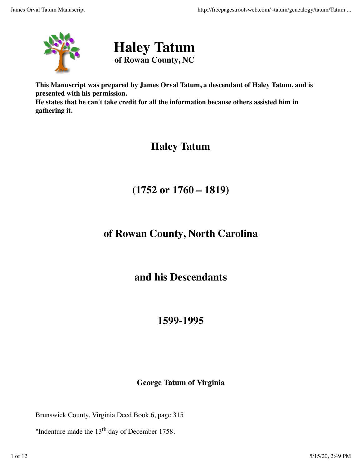



**This Manuscript was prepared by James Orval Tatum, a descendant of Haley Tatum, and is presented with his permission.**

**He states that he can't take credit for all the information because others assisted him in gathering it.**

# **Haley Tatum**

# **(1752 or 1760 – 1819)**

# **of Rowan County, North Carolina**

### **and his Descendants**

# **1599-1995**

#### **George Tatum of Virginia**

Brunswick County, Virginia Deed Book 6, page 315

"Indenture made the 13<sup>th</sup> day of December 1758.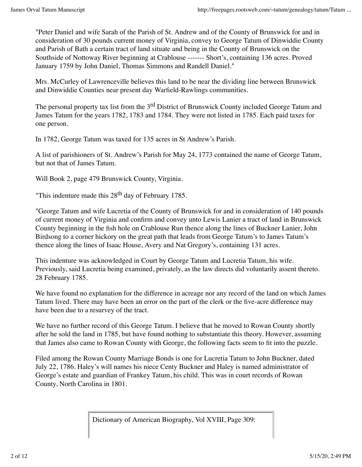"Peter Daniel and wife Sarah of the Parish of St. Andrew and of the County of Brunswick for and in consideration of 30 pounds current money of Virginia, convey to George Tatum of Dinwiddie County and Parish of Bath a certain tract of land situate and being in the County of Brunswick on the Southside of Nottoway River beginning at Crablouse ------- Short's, containing 136 acres. Proved January 1759 by John Daniel, Thomas Simmons and Randell Daniel."

Mrs. McCurley of Lawrenceville believes this land to be near the dividing line between Brunswick and Dinwiddie Counties near present day Warfield-Rawlings communities.

The personal property tax list from the 3<sup>rd</sup> District of Brunswick County included George Tatum and James Tatum for the years 1782, 1783 and 1784. They were not listed in 1785. Each paid taxes for one person.

In 1782, George Tatum was taxed for 135 acres in St Andrew's Parish.

A list of parishioners of St. Andrew's Parish for May 24, 1773 contained the name of George Tatum, but not that of James Tatum.

Will Book 2, page 479 Brunswick County, Virginia.

"This indenture made this  $28<sup>th</sup>$  day of February 1785.

"George Tatum and wife Lucretia of the County of Brunswick for and in consideration of 140 pounds of current money of Virginia and confirm and convey unto Lewis Lanier a tract of land in Brunswick County beginning in the fish hole on Crablouse Run thence along the lines of Buckner Lanier, John Birdsong to a corner hickory on the great path that leads from George Tatum's to James Tatum's thence along the lines of Isaac House, Avery and Nat Gregory's, containing 131 acres.

This indenture was acknowledged in Court by George Tatum and Lucretia Tatum, his wife. Previously, said Lucretia being examined, privately, as the law directs did voluntarily assent thereto. 28 February 1785.

We have found no explanation for the difference in acreage nor any record of the land on which James Tatum lived. There may have been an error on the part of the clerk or the five-acre difference may have been due to a resurvey of the tract.

We have no further record of this George Tatum. I believe that he moved to Rowan County shortly after he sold the land in 1785, but have found nothing to substantiate this theory. However, assuming that James also came to Rowan County with George, the following facts seem to fit into the puzzle.

Filed among the Rowan County Marriage Bonds is one for Lucretia Tatum to John Buckner, dated July 22, 1786. Haley's will names his niece Centy Buckner and Haley is named administrator of George's estate and guardian of Frankey Tatum, his child. This was in court records of Rowan County, North Carolina in 1801.

Dictionary of American Biography, Vol XVIII, Page 309: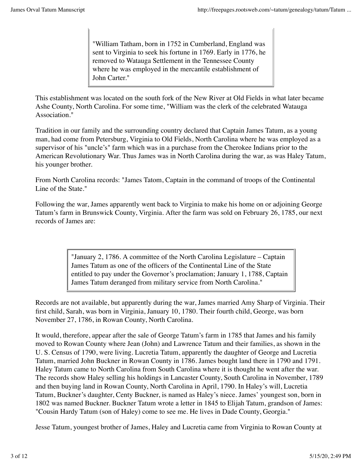"William Tatham, born in 1752 in Cumberland, England was sent to Virginia to seek his fortune in 1769. Early in 1776, he removed to Watauga Settlement in the Tennessee County where he was employed in the mercantile establishment of John Carter."

This establishment was located on the south fork of the New River at Old Fields in what later became Ashe County, North Carolina. For some time, "William was the clerk of the celebrated Watauga Association."

Tradition in our family and the surrounding country declared that Captain James Tatum, as a young man, had come from Petersburg, Virginia to Old Fields, North Carolina where he was employed as a supervisor of his "uncle's" farm which was in a purchase from the Cherokee Indians prior to the American Revolutionary War. Thus James was in North Carolina during the war, as was Haley Tatum, his younger brother.

From North Carolina records: "James Tatom, Captain in the command of troops of the Continental Line of the State."

Following the war, James apparently went back to Virginia to make his home on or adjoining George Tatum's farm in Brunswick County, Virginia. After the farm was sold on February 26, 1785, our next records of James are:

> "January 2, 1786. A committee of the North Carolina Legislature – Captain James Tatum as one of the officers of the Continental Line of the State entitled to pay under the Governor's proclamation; January 1, 1788, Captain James Tatum deranged from military service from North Carolina."

Records are not available, but apparently during the war, James married Amy Sharp of Virginia. Their first child, Sarah, was born in Virginia, January 10, 1780. Their fourth child, George, was born November 27, 1786, in Rowan County, North Carolina.

It would, therefore, appear after the sale of George Tatum's farm in 1785 that James and his family moved to Rowan County where Jean (John) and Lawrence Tatum and their families, as shown in the U. S. Census of 1790, were living. Lucretia Tatum, apparently the daughter of George and Lucretia Tatum, married John Buckner in Rowan County in 1786. James bought land there in 1790 and 1791. Haley Tatum came to North Carolina from South Carolina where it is thought he went after the war. The records show Haley selling his holdings in Lancaster County, South Carolina in November, 1789 and then buying land in Rowan County, North Carolina in April, 1790. In Haley's will, Lucretia Tatum, Buckner's daughter, Centy Buckner, is named as Haley's niece. James' youngest son, born in 1802 was named Buckner. Buckner Tatum wrote a letter in 1845 to Elijah Tatum, grandson of James: "Cousin Hardy Tatum (son of Haley) come to see me. He lives in Dade County, Georgia."

Jesse Tatum, youngest brother of James, Haley and Lucretia came from Virginia to Rowan County at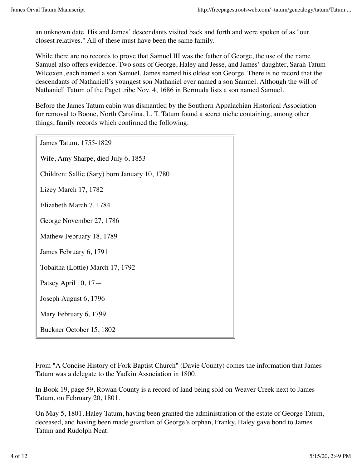an unknown date. His and James' descendants visited back and forth and were spoken of as "our closest relatives." All of these must have been the same family.

While there are no records to prove that Samuel III was the father of George, the use of the name Samuel also offers evidence. Two sons of George, Haley and Jesse, and James' daughter, Sarah Tatum Wilcoxen, each named a son Samuel. James named his oldest son George. There is no record that the descendants of Nathaniell's youngest son Nathaniel ever named a son Samuel. Although the will of Nathaniell Tatum of the Paget tribe Nov. 4, 1686 in Bermuda lists a son named Samuel.

Before the James Tatum cabin was dismantled by the Southern Appalachian Historical Association for removal to Boone, North Carolina, L. T. Tatum found a secret niche containing, among other things, family records which confirmed the following:

James Tatum, 1755-1829

Wife, Amy Sharpe, died July 6, 1853

Children: Sallie (Sary) born January 10, 1780

Lizey March 17, 1782

Elizabeth March 7, 1784

George November 27, 1786

Mathew February 18, 1789

James February 6, 1791

Tobaitha (Lottie) March 17, 1792

Patsey April 10, 17—

Joseph August 6, 1796

Mary February 6, 1799

Buckner October 15, 1802

From "A Concise History of Fork Baptist Church" (Davie County) comes the information that James Tatum was a delegate to the Yadkin Association in 1800.

In Book 19, page 59, Rowan County is a record of land being sold on Weaver Creek next to James Tatum, on February 20, 1801.

On May 5, 1801, Haley Tatum, having been granted the administration of the estate of George Tatum, deceased, and having been made guardian of George's orphan, Franky, Haley gave bond to James Tatum and Rudolph Neat.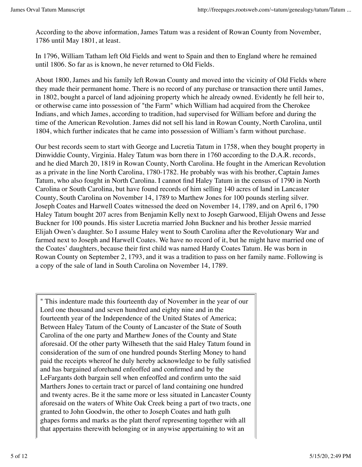According to the above information, James Tatum was a resident of Rowan County from November, 1786 until May 1801, at least.

In 1796, William Tatham left Old Fields and went to Spain and then to England where he remained until 1806. So far as is known, he never returned to Old Fields.

About 1800, James and his family left Rowan County and moved into the vicinity of Old Fields where they made their permanent home. There is no record of any purchase or transaction there until James, in 1802, bought a parcel of land adjoining property which he already owned. Evidently he fell heir to, or otherwise came into possession of "the Farm" which William had acquired from the Cherokee Indians, and which James, according to tradition, had supervised for William before and during the time of the American Revolution. James did not sell his land in Rowan County, North Carolina, until 1804, which further indicates that he came into possession of William's farm without purchase.

Our best records seem to start with George and Lucretia Tatum in 1758, when they bought property in Dinwiddie County, Virginia. Haley Tatum was born there in 1760 according to the D.A.R. records, and he died March 20, 1819 in Rowan County, North Carolina. He fought in the American Revolution as a private in the line North Carolina, 1780-1782. He probably was with his brother, Captain James Tatum, who also fought in North Carolina. I cannot find Haley Tatum in the census of 1790 in North Carolina or South Carolina, but have found records of him selling 140 acres of land in Lancaster County, South Carolina on November 14, 1789 to Marthew Jones for 100 pounds sterling silver. Joseph Coates and Harwell Coates witnessed the deed on November 14, 1789, and on April 6, 1790 Haley Tatum bought 207 acres from Benjamin Kelly next to Joseph Garwood, Elijah Owens and Jesse Buckner for 100 pounds. His sister Lucretia married John Buckner and his brother Jessie married Elijah Owen's daughter. So I assume Haley went to South Carolina after the Revolutionary War and farmed next to Joseph and Harwell Coates. We have no record of it, but he might have married one of the Coates' daughters, because their first child was named Hardy Coates Tatum. He was born in Rowan County on September 2, 1793, and it was a tradition to pass on her family name. Following is a copy of the sale of land in South Carolina on November 14, 1789.

" This indenture made this fourteenth day of November in the year of our Lord one thousand and seven hundred and eighty nine and in the fourteenth year of the Independence of the United States of America; Between Haley Tatum of the County of Lancaster of the State of South Carolina of the one party and Marthew Jones of the County and State aforesaid. Of the other party Wilheseth that the said Haley Tatum found in consideration of the sum of one hundred pounds Sterling Money to hand paid the receipts whereof he duly hereby acknowledge to be fully satisfied and has bargained aforehand enfeoffed and confirmed and by the LeFargants doth bargain sell when enfeoffed and confirm unto the said Marthers Jones to certain tract or parcel of land containing one hundred and twenty acres. Be it the same more or less situated in Lancaster County aforesaid on the waters of White Oak Creek being a part of two tracts, one granted to John Goodwin, the other to Joseph Coates and hath gulh ghapes forms and marks as the platt therof representing together with all that appertains therewith belonging or in anywise appertaining to wit an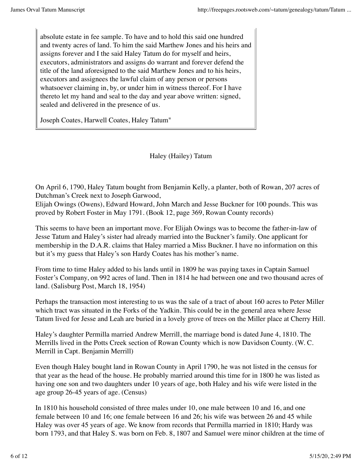absolute estate in fee sample. To have and to hold this said one hundred and twenty acres of land. To him the said Marthew Jones and his heirs and assigns forever and I the said Haley Tatum do for myself and heirs, executors, administrators and assigns do warrant and forever defend the title of the land aforesigned to the said Marthew Jones and to his heirs, executors and assignees the lawful claim of any person or persons whatsoever claiming in, by, or under him in witness thereof. For I have thereto let my hand and seal to the day and year above written: signed, sealed and delivered in the presence of us.

Joseph Coates, Harwell Coates, Haley Tatum"

Haley (Hailey) Tatum

On April 6, 1790, Haley Tatum bought from Benjamin Kelly, a planter, both of Rowan, 207 acres of Dutchman's Creek next to Joseph Garwood,

Elijah Owings (Owens), Edward Howard, John March and Jesse Buckner for 100 pounds. This was proved by Robert Foster in May 1791. (Book 12, page 369, Rowan County records)

This seems to have been an important move. For Elijah Owings was to become the father-in-law of Jesse Tatum and Haley's sister had already married into the Buckner's family. One applicant for membership in the D.A.R. claims that Haley married a Miss Buckner. I have no information on this but it's my guess that Haley's son Hardy Coates has his mother's name.

From time to time Haley added to his lands until in 1809 he was paying taxes in Captain Samuel Foster's Company, on 992 acres of land. Then in 1814 he had between one and two thousand acres of land. (Salisburg Post, March 18, 1954)

Perhaps the transaction most interesting to us was the sale of a tract of about 160 acres to Peter Miller which tract was situated in the Forks of the Yadkin. This could be in the general area where Jesse Tatum lived for Jesse and Leah are buried in a lovely grove of trees on the Miller place at Cherry Hill.

Haley's daughter Permilla married Andrew Merrill, the marriage bond is dated June 4, 1810. The Merrills lived in the Potts Creek section of Rowan County which is now Davidson County. (W. C. Merrill in Capt. Benjamin Merrill)

Even though Haley bought land in Rowan County in April 1790, he was not listed in the census for that year as the head of the house. He probably married around this time for in 1800 he was listed as having one son and two daughters under 10 years of age, both Haley and his wife were listed in the age group 26-45 years of age. (Census)

In 1810 his household consisted of three males under 10, one male between 10 and 16, and one female between 10 and 16; one female between 16 and 26; his wife was between 26 and 45 while Haley was over 45 years of age. We know from records that Permilla married in 1810; Hardy was born 1793, and that Haley S. was born on Feb. 8, 1807 and Samuel were minor children at the time of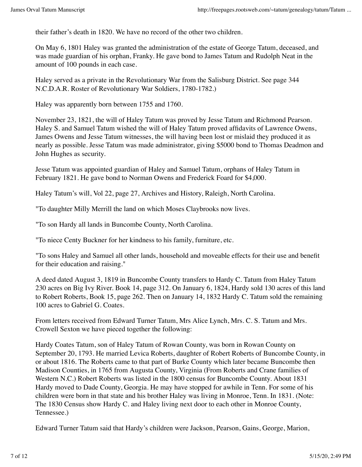their father's death in 1820. We have no record of the other two children.

On May 6, 1801 Haley was granted the administration of the estate of George Tatum, deceased, and was made guardian of his orphan, Franky. He gave bond to James Tatum and Rudolph Neat in the amount of 100 pounds in each case.

Haley served as a private in the Revolutionary War from the Salisburg District. See page 344 N.C.D.A.R. Roster of Revolutionary War Soldiers, 1780-1782.)

Haley was apparently born between 1755 and 1760.

November 23, 1821, the will of Haley Tatum was proved by Jesse Tatum and Richmond Pearson. Haley S. and Samuel Tatum wished the will of Haley Tatum proved affidavits of Lawrence Owens, James Owens and Jesse Tatum witnesses, the will having been lost or mislaid they produced it as nearly as possible. Jesse Tatum was made administrator, giving \$5000 bond to Thomas Deadmon and John Hughes as security.

Jesse Tatum was appointed guardian of Haley and Samuel Tatum, orphans of Haley Tatum in February 1821. He gave bond to Norman Owens and Frederick Foard for \$4,000.

Haley Tatum's will, Vol 22, page 27, Archives and History, Raleigh, North Carolina.

"To daughter Milly Merrill the land on which Moses Claybrooks now lives.

"To son Hardy all lands in Buncombe County, North Carolina.

"To niece Centy Buckner for her kindness to his family, furniture, etc.

"To sons Haley and Samuel all other lands, household and moveable effects for their use and benefit for their education and raising."

A deed dated August 3, 1819 in Buncombe County transfers to Hardy C. Tatum from Haley Tatum 230 acres on Big Ivy River. Book 14, page 312. On January 6, 1824, Hardy sold 130 acres of this land to Robert Roberts, Book 15, page 262. Then on January 14, 1832 Hardy C. Tatum sold the remaining 100 acres to Gabriel G. Coates.

From letters received from Edward Turner Tatum, Mrs Alice Lynch, Mrs. C. S. Tatum and Mrs. Crowell Sexton we have pieced together the following:

Hardy Coates Tatum, son of Haley Tatum of Rowan County, was born in Rowan County on September 20, 1793. He married Levica Roberts, daughter of Robert Roberts of Buncombe County, in or about 1816. The Roberts came to that part of Burke County which later became Buncombe then Madison Counties, in 1765 from Augusta County, Virginia (From Roberts and Crane families of Western N.C.) Robert Roberts was listed in the 1800 census for Buncombe County. About 1831 Hardy moved to Dade County, Georgia. He may have stopped for awhile in Tenn. For some of his children were born in that state and his brother Haley was living in Monroe, Tenn. In 1831. (Note: The 1830 Census show Hardy C. and Haley living next door to each other in Monroe County, Tennessee.)

Edward Turner Tatum said that Hardy's children were Jackson, Pearson, Gains, George, Marion,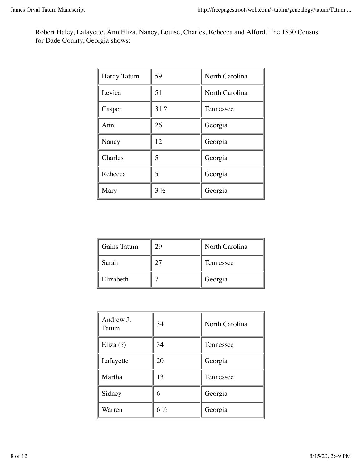Robert Haley, Lafayette, Ann Eliza, Nancy, Louise, Charles, Rebecca and Alford. The 1850 Census for Dade County, Georgia shows:

| <b>Hardy Tatum</b> | 59             | North Carolina |
|--------------------|----------------|----------------|
| Levica             | 51             | North Carolina |
| Casper             | 31 ?           | Tennessee      |
| Ann                | 26             | Georgia        |
| Nancy              | 12             | Georgia        |
| Charles            | 5              | Georgia        |
| Rebecca            | 5              | Georgia        |
| Mary               | $3\frac{1}{2}$ | Georgia        |

| <b>Gains Tatum</b> | 29 | North Carolina |
|--------------------|----|----------------|
| Sarah              |    | Tennessee      |
| Elizabeth          |    | Georgia        |

| Andrew J.<br>Tatum | 34             | North Carolina |
|--------------------|----------------|----------------|
| Eliza $(?)$        | 34             | Tennessee      |
| Lafayette          | 20             | Georgia        |
| Martha             | 13             | Tennessee      |
| Sidney             | 6              | Georgia        |
| Warren             | $6\frac{1}{2}$ | Georgia        |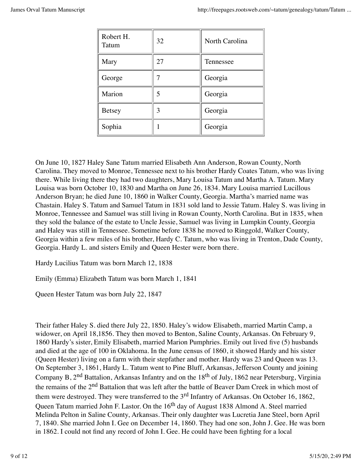| Robert H.<br>Tatum | 32 | North Carolina |
|--------------------|----|----------------|
| Mary               | 27 | Tennessee      |
| George             |    | Georgia        |
| Marion             | 5  | Georgia        |
| <b>Betsey</b>      | 3  | Georgia        |
| Sophia             |    | Georgia        |

On June 10, 1827 Haley Sane Tatum married Elisabeth Ann Anderson, Rowan County, North Carolina. They moved to Monroe, Tennessee next to his brother Hardy Coates Tatum, who was living there. While living there they had two daughters, Mary Louisa Tatum and Martha A. Tatum. Mary Louisa was born October 10, 1830 and Martha on June 26, 1834. Mary Louisa married Lucillous Anderson Bryan; he died June 10, 1860 in Walker County, Georgia. Martha's married name was Chastain. Haley S. Tatum and Samuel Tatum in 1831 sold land to Jessie Tatum. Haley S. was living in Monroe, Tennessee and Samuel was still living in Rowan County, North Carolina. But in 1835, when they sold the balance of the estate to Uncle Jessie, Samuel was living in Lumpkin County, Georgia and Haley was still in Tennessee. Sometime before 1838 he moved to Ringgold, Walker County, Georgia within a few miles of his brother, Hardy C. Tatum, who was living in Trenton, Dade County, Georgia. Hardy L. and sisters Emily and Queen Hester were born there.

Hardy Lucilius Tatum was born March 12, 1838

Emily (Emma) Elizabeth Tatum was born March 1, 1841

Queen Hester Tatum was born July 22, 1847

Their father Haley S. died there July 22, 1850. Haley's widow Elisabeth, married Martin Camp, a widower, on April 18,1856. They then moved to Benton, Saline County, Arkansas. On February 9, 1860 Hardy's sister, Emily Elisabeth, married Marion Pumphries. Emily out lived five (5) husbands and died at the age of 100 in Oklahoma. In the June census of 1860, it showed Hardy and his sister (Queen Hester) living on a farm with their stepfather and mother. Hardy was 23 and Queen was 13. On September 3, 1861, Hardy L. Tatum went to Pine Bluff, Arkansas, Jefferson County and joining Company B, 2<sup>nd</sup> Battalion, Arkansas Infantry and on the 18<sup>th</sup> of July, 1862 near Petersburg, Virginia the remains of the 2<sup>nd</sup> Battalion that was left after the battle of Beaver Dam Creek in which most of them were destroyed. They were transferred to the 3<sup>rd</sup> Infantry of Arkansas. On October 16, 1862, Queen Tatum married John F. Lastor. On the 16<sup>th</sup> day of August 1838 Almond A. Steel married Melinda Pelton in Saline County, Arkansas. Their only daughter was Lucretia Jane Steel, born April 7, 1840. She married John I. Gee on December 14, 1860. They had one son, John J. Gee. He was born in 1862. I could not find any record of John I. Gee. He could have been fighting for a local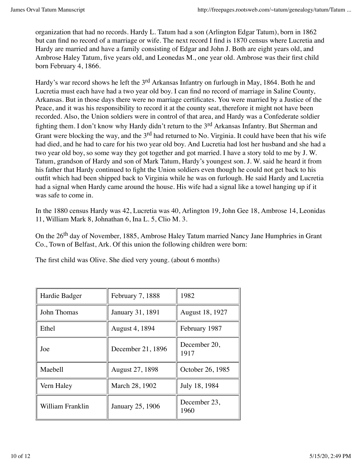organization that had no records. Hardy L. Tatum had a son (Arlington Edgar Tatum), born in 1862 but can find no record of a marriage or wife. The next record I find is 1870 census where Lucretia and Hardy are married and have a family consisting of Edgar and John J. Both are eight years old, and Ambrose Haley Tatum, five years old, and Leonedas M., one year old. Ambrose was their first child born February 4, 1866.

Hardy's war record shows he left the 3rd Arkansas Infantry on furlough in May, 1864. Both he and Lucretia must each have had a two year old boy. I can find no record of marriage in Saline County, Arkansas. But in those days there were no marriage certificates. You were married by a Justice of the Peace, and it was his responsibility to record it at the county seat, therefore it might not have been recorded. Also, the Union soldiers were in control of that area, and Hardy was a Confederate soldier fighting them. I don't know why Hardy didn't return to the 3<sup>rd</sup> Arkansas Infantry. But Sherman and Grant were blocking the way, and the 3<sup>rd</sup> had returned to No. Virginia. It could have been that his wife had died, and he had to care for his two year old boy. And Lucretia had lost her husband and she had a two year old boy, so some way they got together and got married. I have a story told to me by J. W. Tatum, grandson of Hardy and son of Mark Tatum, Hardy's youngest son. J. W. said he heard it from his father that Hardy continued to fight the Union soldiers even though he could not get back to his outfit which had been shipped back to Virginia while he was on furlough. He said Hardy and Lucretia had a signal when Hardy came around the house. His wife had a signal like a towel hanging up if it was safe to come in.

In the 1880 census Hardy was 42, Lucretia was 40, Arlington 19, John Gee 18, Ambrose 14, Leonidas 11, William Mark 8, Johnathan 6, Ina L. 5, Clio M. 3.

On the 26<sup>th</sup> day of November, 1885, Ambrose Haley Tatum married Nancy Jane Humphries in Grant Co., Town of Belfast, Ark. Of this union the following children were born:

The first child was Olive. She died very young. (about 6 months)

| Hardie Badger    | February 7, 1888  | 1982                 |
|------------------|-------------------|----------------------|
| John Thomas      | January 31, 1891  | August 18, 1927      |
| Ethel            | August 4, 1894    | February 1987        |
| Joe              | December 21, 1896 | December 20,<br>1917 |
| Maebell          | August 27, 1898   | October 26, 1985     |
| Vern Haley       | March 28, 1902    | July 18, 1984        |
| William Franklin | January 25, 1906  | December 23,<br>1960 |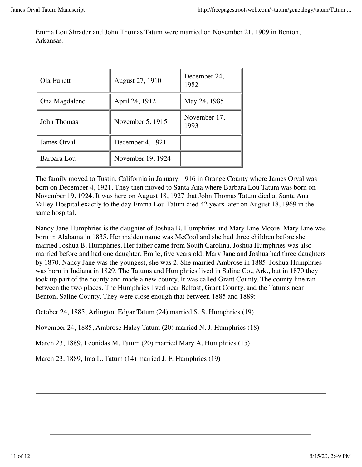Emma Lou Shrader and John Thomas Tatum were married on November 21, 1909 in Benton, Arkansas.

| Ola Eunett    | August 27, 1910   | December 24,<br>1982 |
|---------------|-------------------|----------------------|
| Ona Magdalene | April 24, 1912    | May 24, 1985         |
| John Thomas   | November 5, 1915  | November 17,<br>1993 |
| James Orval   | December 4, 1921  |                      |
| Barbara Lou   | November 19, 1924 |                      |

The family moved to Tustin, California in January, 1916 in Orange County where James Orval was born on December 4, 1921. They then moved to Santa Ana where Barbara Lou Tatum was born on November 19, 1924. It was here on August 18, 1927 that John Thomas Tatum died at Santa Ana Valley Hospital exactly to the day Emma Lou Tatum died 42 years later on August 18, 1969 in the same hospital.

Nancy Jane Humphries is the daughter of Joshua B. Humphries and Mary Jane Moore. Mary Jane was born in Alabama in 1835. Her maiden name was McCool and she had three children before she married Joshua B. Humphries. Her father came from South Carolina. Joshua Humphries was also married before and had one daughter, Emile, five years old. Mary Jane and Joshua had three daughters by 1870. Nancy Jane was the youngest, she was 2. She married Ambrose in 1885. Joshua Humphries was born in Indiana in 1829. The Tatums and Humphries lived in Saline Co., Ark., but in 1870 they took up part of the county and made a new county. It was called Grant County. The county line ran between the two places. The Humphries lived near Belfast, Grant County, and the Tatums near Benton, Saline County. They were close enough that between 1885 and 1889:

October 24, 1885, Arlington Edgar Tatum (24) married S. S. Humphries (19)

November 24, 1885, Ambrose Haley Tatum (20) married N. J. Humphries (18)

March 23, 1889, Leonidas M. Tatum (20) married Mary A. Humphries (15)

March 23, 1889, Ima L. Tatum (14) married J. F. Humphries (19)